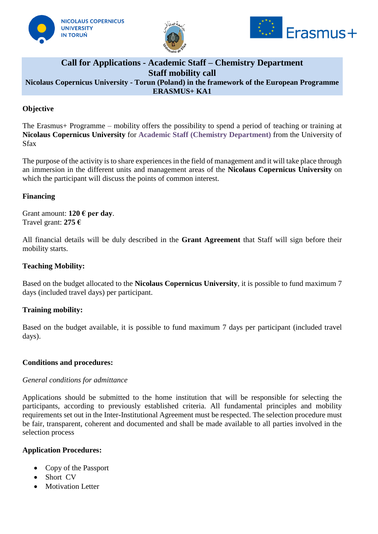





# **Call for Applications - Academic Staff – Chemistry Department Staff mobility call Nicolaus Copernicus University - Torun (Poland) in the framework of the European Programme ERASMUS+ KA1**

# **Objective**

The Erasmus+ Programme – mobility offers the possibility to spend a period of teaching or training at **Nicolaus Copernicus University** for **Academic Staff (Chemistry Department)** from the University of Sfax

The purpose of the activity is to share experiences in the field of management and it will take place through an immersion in the different units and management areas of the **Nicolaus Copernicus University** on which the participant will discuss the points of common interest.

### **Financing**

Grant amount: **120 € per day**. Travel grant: **275 €**

All financial details will be duly described in the **Grant Agreement** that Staff will sign before their mobility starts.

### **Teaching Mobility:**

Based on the budget allocated to the **Nicolaus Copernicus University**, it is possible to fund maximum 7 days (included travel days) per participant.

#### **Training mobility:**

Based on the budget available, it is possible to fund maximum 7 days per participant (included travel days).

#### **Conditions and procedures:**

#### *General conditions for admittance*

Applications should be submitted to the home institution that will be responsible for selecting the participants, according to previously established criteria. All fundamental principles and mobility requirements set out in the Inter-Institutional Agreement must be respected. The selection procedure must be fair, transparent, coherent and documented and shall be made available to all parties involved in the selection process

#### **Application Procedures:**

- Copy of the Passport
- Short CV
- Motivation Letter